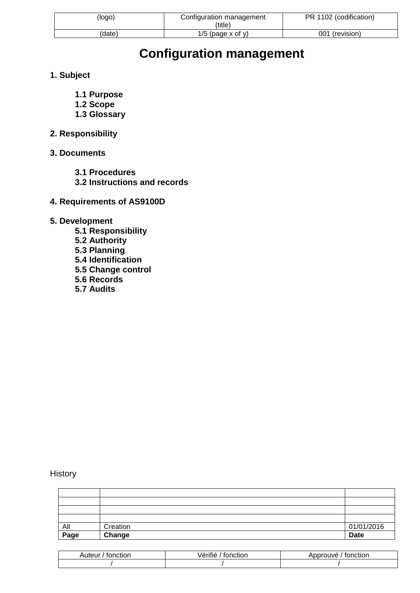| (logo  | Configuration management<br>(title) | PR 1102 (codification) |
|--------|-------------------------------------|------------------------|
| 'date) | $1/5$ (page x of y)                 | 001 (revision)         |

# **Configuration management**

- **1. Subject**
	- **1.1 Purpose**
	- **1.2 Scope**
	- **1.3 Glossary**
- **2. Responsibility**
- **3. Documents**
	- **3.1 Procedures**
	- **3.2 Instructions and records**
- **4. Requirements of AS9100D**
- **5. Development**
	- **5.1 Responsibility 5.2 Authority 5.3 Planning 5.4 Identification 5.5 Change control 5.6 Records**
	- **5.7 Audits**

**History** 

| All  | Creation | 01/01/2016  |
|------|----------|-------------|
| Page | Change   | <b>Date</b> |

| Auteur<br>tonction | .<br>'erifie<br>⊺tonction | tonction<br>. Approuve |
|--------------------|---------------------------|------------------------|
|                    |                           |                        |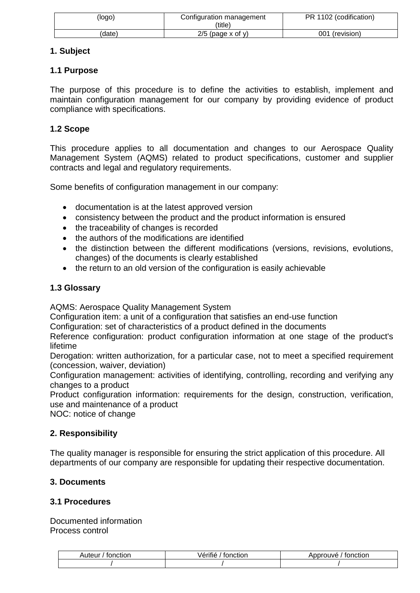| (logo) | Configuration management<br>'title) | PR 1102 (codification) |
|--------|-------------------------------------|------------------------|
| date)  | $2/5$ (page x of y)                 | 001 (revision)         |

## **1. Subject**

## **1.1 Purpose**

The purpose of this procedure is to define the activities to establish, implement and maintain configuration management for our company by providing evidence of product compliance with specifications.

## **1.2 Scope**

This procedure applies to all documentation and changes to our Aerospace Quality Management System (AQMS) related to product specifications, customer and supplier contracts and legal and regulatory requirements.

Some benefits of configuration management in our company:

- documentation is at the latest approved version
- consistency between the product and the product information is ensured
- the traceability of changes is recorded
- the authors of the modifications are identified
- the distinction between the different modifications (versions, revisions, evolutions, changes) of the documents is clearly established
- the return to an old version of the configuration is easily achievable

## **1.3 Glossary**

AQMS: Aerospace Quality Management System

Configuration item: a unit of a configuration that satisfies an end-use function

Configuration: set of characteristics of a product defined in the documents

Reference configuration: product configuration information at one stage of the product's lifetime

Derogation: written authorization, for a particular case, not to meet a specified requirement (concession, waiver, deviation)

Configuration management: activities of identifying, controlling, recording and verifying any changes to a product

Product configuration information: requirements for the design, construction, verification, use and maintenance of a product

NOC: notice of change

## **2. Responsibility**

The quality manager is responsible for ensuring the strict application of this procedure. All departments of our company are responsible for updating their respective documentation.

## **3. Documents**

## **3.1 Procedures**

Documented information Process control

| Auteur.<br>tonction | .<br>eritie<br>tonction | Approuve<br>⊺fonction |
|---------------------|-------------------------|-----------------------|
|                     |                         |                       |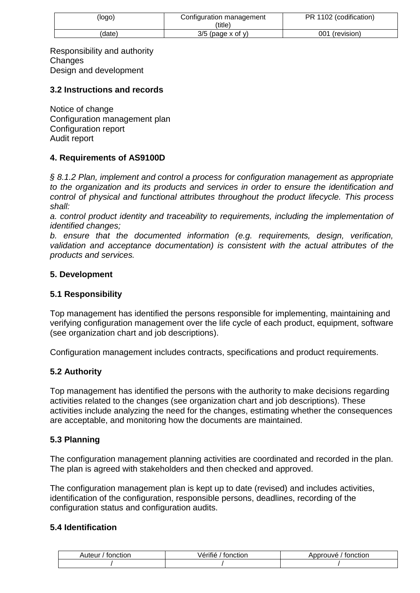| (logo) | Configuration management<br>(title) | 1102 (codification)<br>PR |
|--------|-------------------------------------|---------------------------|
| date.  | 3/5<br>(page x of y)                | 001<br>(revision)         |

Responsibility and authority **Changes** Design and development

#### **3.2 Instructions and records**

Notice of change Configuration management plan Configuration report Audit report

#### **4. Requirements of AS9100D**

*§ 8.1.2 Plan, implement and control a process for configuration management as appropriate to the organization and its products and services in order to ensure the identification and control of physical and functional attributes throughout the product lifecycle. This process shall:*

*a. control product identity and traceability to requirements, including the implementation of identified changes;*

*b. ensure that the documented information (e.g. requirements, design, verification, validation and acceptance documentation) is consistent with the actual attributes of the products and services.*

#### **5. Development**

#### **5.1 Responsibility**

Top management has identified the persons responsible for implementing, maintaining and verifying configuration management over the life cycle of each product, equipment, software (see organization chart and job descriptions).

Configuration management includes contracts, specifications and product requirements.

## **5.2 Authority**

Top management has identified the persons with the authority to make decisions regarding activities related to the changes (see organization chart and job descriptions). These activities include analyzing the need for the changes, estimating whether the consequences are acceptable, and monitoring how the documents are maintained.

## **5.3 Planning**

The configuration management planning activities are coordinated and recorded in the plan. The plan is agreed with stakeholders and then checked and approved.

The configuration management plan is kept up to date (revised) and includes activities, identification of the configuration, responsible persons, deadlines, recording of the configuration status and configuration audits.

#### **5.4 Identification**

| .⊣uteur⊹<br>tonction | $\cdots$<br>.<br>onction<br>verme | Approuve<br>tonction |
|----------------------|-----------------------------------|----------------------|
|                      |                                   |                      |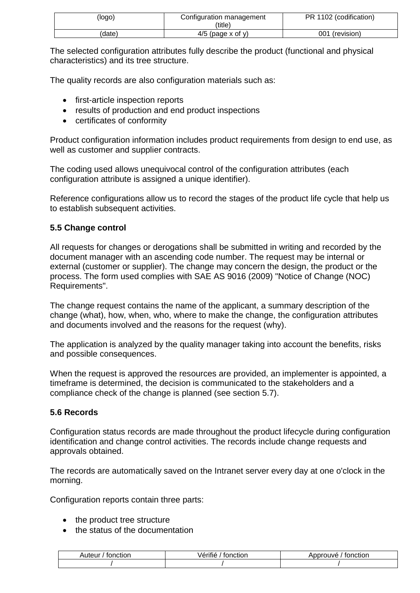| (logo  | Configuration management<br>(title) | PR 1102 (codification) |
|--------|-------------------------------------|------------------------|
| (date) | $4/5$ (page x of y)                 | 001<br>(revision)      |

The selected configuration attributes fully describe the product (functional and physical characteristics) and its tree structure.

The quality records are also configuration materials such as:

- first-article inspection reports
- results of production and end product inspections
- certificates of conformity

Product configuration information includes product requirements from design to end use, as well as customer and supplier contracts.

The coding used allows unequivocal control of the configuration attributes (each configuration attribute is assigned a unique identifier).

Reference configurations allow us to record the stages of the product life cycle that help us to establish subsequent activities.

#### **5.5 Change control**

All requests for changes or derogations shall be submitted in writing and recorded by the document manager with an ascending code number. The request may be internal or external (customer or supplier). The change may concern the design, the product or the process. The form used complies with SAE AS 9016 (2009) "Notice of Change (NOC) Requirements".

The change request contains the name of the applicant, a summary description of the change (what), how, when, who, where to make the change, the configuration attributes and documents involved and the reasons for the request (why).

The application is analyzed by the quality manager taking into account the benefits, risks and possible consequences.

When the request is approved the resources are provided, an implementer is appointed, a timeframe is determined, the decision is communicated to the stakeholders and a compliance check of the change is planned (see section 5.7).

#### **5.6 Records**

Configuration status records are made throughout the product lifecycle during configuration identification and change control activities. The records include change requests and approvals obtained.

The records are automatically saved on the Intranet server every day at one o'clock in the morning.

Configuration reports contain three parts:

- the product tree structure
- $\bullet$  the status of the documentation

| nuteur ⊺<br>tonction | <br>.<br>tonction<br>. anne 1 | `nnrouve_<br>tonction |
|----------------------|-------------------------------|-----------------------|
|                      |                               |                       |